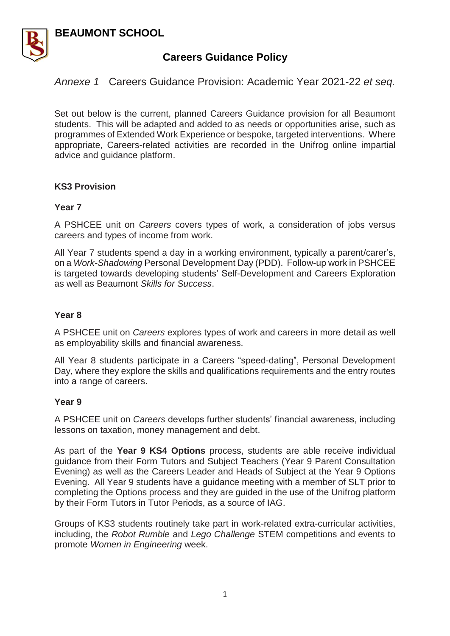### **BEAUMONT SCHOOL**



# **Careers Guidance Policy**

*Annexe 1* Careers Guidance Provision: Academic Year 2021-22 *et seq.*

Set out below is the current, planned Careers Guidance provision for all Beaumont students. This will be adapted and added to as needs or opportunities arise, such as programmes of Extended Work Experience or bespoke, targeted interventions. Where appropriate, Careers-related activities are recorded in the Unifrog online impartial advice and guidance platform.

#### **KS3 Provision**

#### **Year 7**

A PSHCEE unit on *Careers* covers types of work, a consideration of jobs versus careers and types of income from work.

All Year 7 students spend a day in a working environment, typically a parent/carer's, on a *Work-Shadowing* Personal Development Day (PDD). Follow-up work in PSHCEE is targeted towards developing students' Self-Development and Careers Exploration as well as Beaumont *Skills for Success*.

#### **Year 8**

A PSHCEE unit on *Careers* explores types of work and careers in more detail as well as employability skills and financial awareness.

All Year 8 students participate in a Careers "speed-dating", Personal Development Day, where they explore the skills and qualifications requirements and the entry routes into a range of careers.

#### **Year 9**

A PSHCEE unit on *Careers* develops further students' financial awareness, including lessons on taxation, money management and debt.

As part of the **Year 9 KS4 Options** process, students are able receive individual guidance from their Form Tutors and Subject Teachers (Year 9 Parent Consultation Evening) as well as the Careers Leader and Heads of Subject at the Year 9 Options Evening. All Year 9 students have a guidance meeting with a member of SLT prior to completing the Options process and they are guided in the use of the Unifrog platform by their Form Tutors in Tutor Periods, as a source of IAG.

Groups of KS3 students routinely take part in work-related extra-curricular activities, including, the *Robot Rumble* and *Lego Challenge* STEM competitions and events to promote *Women in Engineering* week.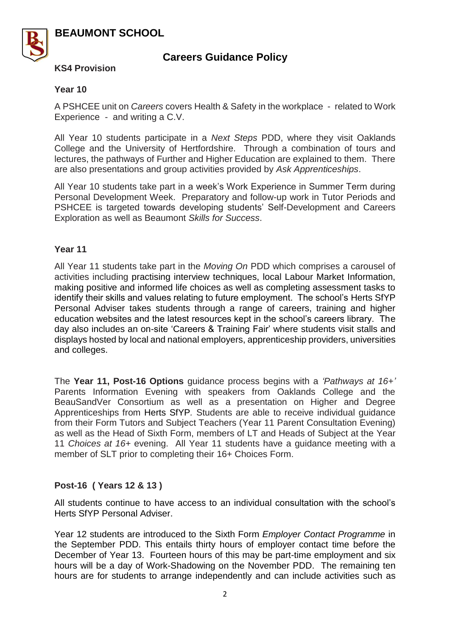**BEAUMONT SCHOOL** 



# **Careers Guidance Policy**

**KS4 Provision**

#### **Year 10**

A PSHCEE unit on *Careers* covers Health & Safety in the workplace - related to Work Experience - and writing a C.V.

All Year 10 students participate in a *Next Steps* PDD, where they visit Oaklands College and the University of Hertfordshire. Through a combination of tours and lectures, the pathways of Further and Higher Education are explained to them. There are also presentations and group activities provided by *Ask Apprenticeships*.

All Year 10 students take part in a week's Work Experience in Summer Term during Personal Development Week. Preparatory and follow-up work in Tutor Periods and PSHCEE is targeted towards developing students' Self-Development and Careers Exploration as well as Beaumont *Skills for Success*.

#### **Year 11**

All Year 11 students take part in the *Moving On* PDD which comprises a carousel of activities including practising interview techniques, local Labour Market Information, making positive and informed life choices as well as completing assessment tasks to identify their skills and values relating to future employment. The school's Herts SfYP Personal Adviser takes students through a range of careers, training and higher education websites and the latest resources kept in the school's careers library. The day also includes an on-site 'Careers & Training Fair' where students visit stalls and displays hosted by local and national employers, apprenticeship providers, universities and colleges.

The **Year 11, Post-16 Options** guidance process begins with a *'Pathways at 16+'* Parents Information Evening with speakers from Oaklands College and the BeauSandVer Consortium as well as a presentation on Higher and Degree Apprenticeships from Herts SfYP*.* Students are able to receive individual guidance from their Form Tutors and Subject Teachers (Year 11 Parent Consultation Evening) as well as the Head of Sixth Form, members of LT and Heads of Subject at the Year 11 *Choices at 16+* evening. All Year 11 students have a guidance meeting with a member of SLT prior to completing their 16+ Choices Form.

### **Post-16 ( Years 12 & 13 )**

All students continue to have access to an individual consultation with the school's Herts SfYP Personal Adviser.

Year 12 students are introduced to the Sixth Form *Employer Contact Programme* in the September PDD. This entails thirty hours of employer contact time before the December of Year 13. Fourteen hours of this may be part-time employment and six hours will be a day of Work-Shadowing on the November PDD. The remaining ten hours are for students to arrange independently and can include activities such as